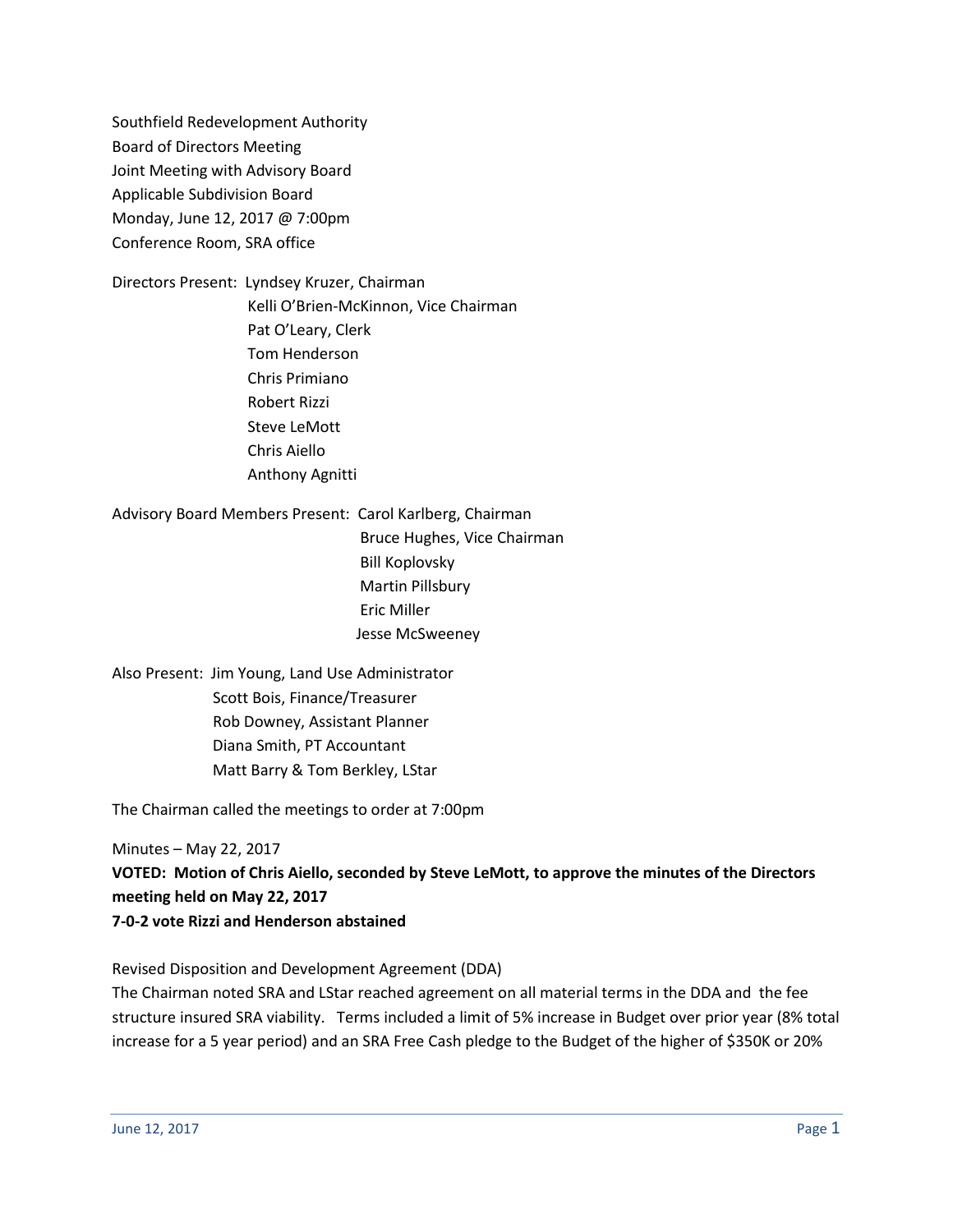Southfield Redevelopment Authority Board of Directors Meeting Joint Meeting with Advisory Board Applicable Subdivision Board Monday, June 12, 2017 @ 7:00pm Conference Room, SRA office

Directors Present: Lyndsey Kruzer, Chairman Kelli O'Brien-McKinnon, Vice Chairman Pat O'Leary, Clerk Tom Henderson Chris Primiano Robert Rizzi Steve LeMott Chris Aiello Anthony Agnitti

Advisory Board Members Present: Carol Karlberg, Chairman

 Bruce Hughes, Vice Chairman Bill Koplovsky Martin Pillsbury Eric Miller Jesse McSweeney

Also Present: Jim Young, Land Use Administrator Scott Bois, Finance/Treasurer Rob Downey, Assistant Planner Diana Smith, PT Accountant Matt Barry & Tom Berkley, LStar

The Chairman called the meetings to order at 7:00pm

Minutes – May 22, 2017

**VOTED: Motion of Chris Aiello, seconded by Steve LeMott, to approve the minutes of the Directors meeting held on May 22, 2017 7-0-2 vote Rizzi and Henderson abstained**

Revised Disposition and Development Agreement (DDA)

The Chairman noted SRA and LStar reached agreement on all material terms in the DDA and the fee structure insured SRA viability. Terms included a limit of 5% increase in Budget over prior year (8% total increase for a 5 year period) and an SRA Free Cash pledge to the Budget of the higher of \$350K or 20%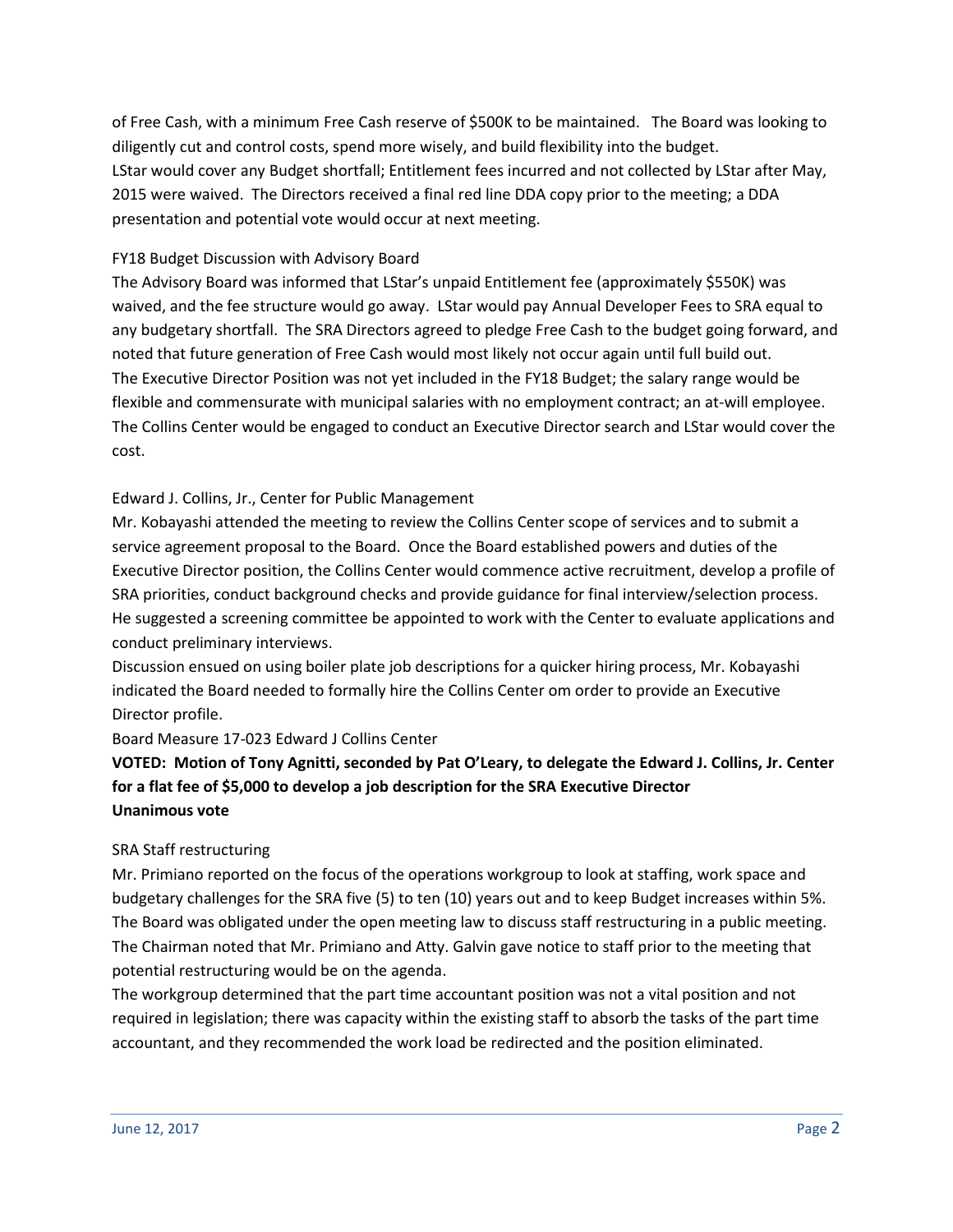of Free Cash, with a minimum Free Cash reserve of \$500K to be maintained. The Board was looking to diligently cut and control costs, spend more wisely, and build flexibility into the budget. LStar would cover any Budget shortfall; Entitlement fees incurred and not collected by LStar after May, 2015 were waived. The Directors received a final red line DDA copy prior to the meeting; a DDA presentation and potential vote would occur at next meeting.

#### FY18 Budget Discussion with Advisory Board

The Advisory Board was informed that LStar's unpaid Entitlement fee (approximately \$550K) was waived, and the fee structure would go away. LStar would pay Annual Developer Fees to SRA equal to any budgetary shortfall. The SRA Directors agreed to pledge Free Cash to the budget going forward, and noted that future generation of Free Cash would most likely not occur again until full build out. The Executive Director Position was not yet included in the FY18 Budget; the salary range would be flexible and commensurate with municipal salaries with no employment contract; an at-will employee. The Collins Center would be engaged to conduct an Executive Director search and LStar would cover the cost.

#### Edward J. Collins, Jr., Center for Public Management

Mr. Kobayashi attended the meeting to review the Collins Center scope of services and to submit a service agreement proposal to the Board. Once the Board established powers and duties of the Executive Director position, the Collins Center would commence active recruitment, develop a profile of SRA priorities, conduct background checks and provide guidance for final interview/selection process. He suggested a screening committee be appointed to work with the Center to evaluate applications and conduct preliminary interviews.

Discussion ensued on using boiler plate job descriptions for a quicker hiring process, Mr. Kobayashi indicated the Board needed to formally hire the Collins Center om order to provide an Executive Director profile.

Board Measure 17-023 Edward J Collins Center

# **VOTED: Motion of Tony Agnitti, seconded by Pat O'Leary, to delegate the Edward J. Collins, Jr. Center for a flat fee of \$5,000 to develop a job description for the SRA Executive Director Unanimous vote**

#### SRA Staff restructuring

Mr. Primiano reported on the focus of the operations workgroup to look at staffing, work space and budgetary challenges for the SRA five (5) to ten (10) years out and to keep Budget increases within 5%. The Board was obligated under the open meeting law to discuss staff restructuring in a public meeting. The Chairman noted that Mr. Primiano and Atty. Galvin gave notice to staff prior to the meeting that potential restructuring would be on the agenda.

The workgroup determined that the part time accountant position was not a vital position and not required in legislation; there was capacity within the existing staff to absorb the tasks of the part time accountant, and they recommended the work load be redirected and the position eliminated.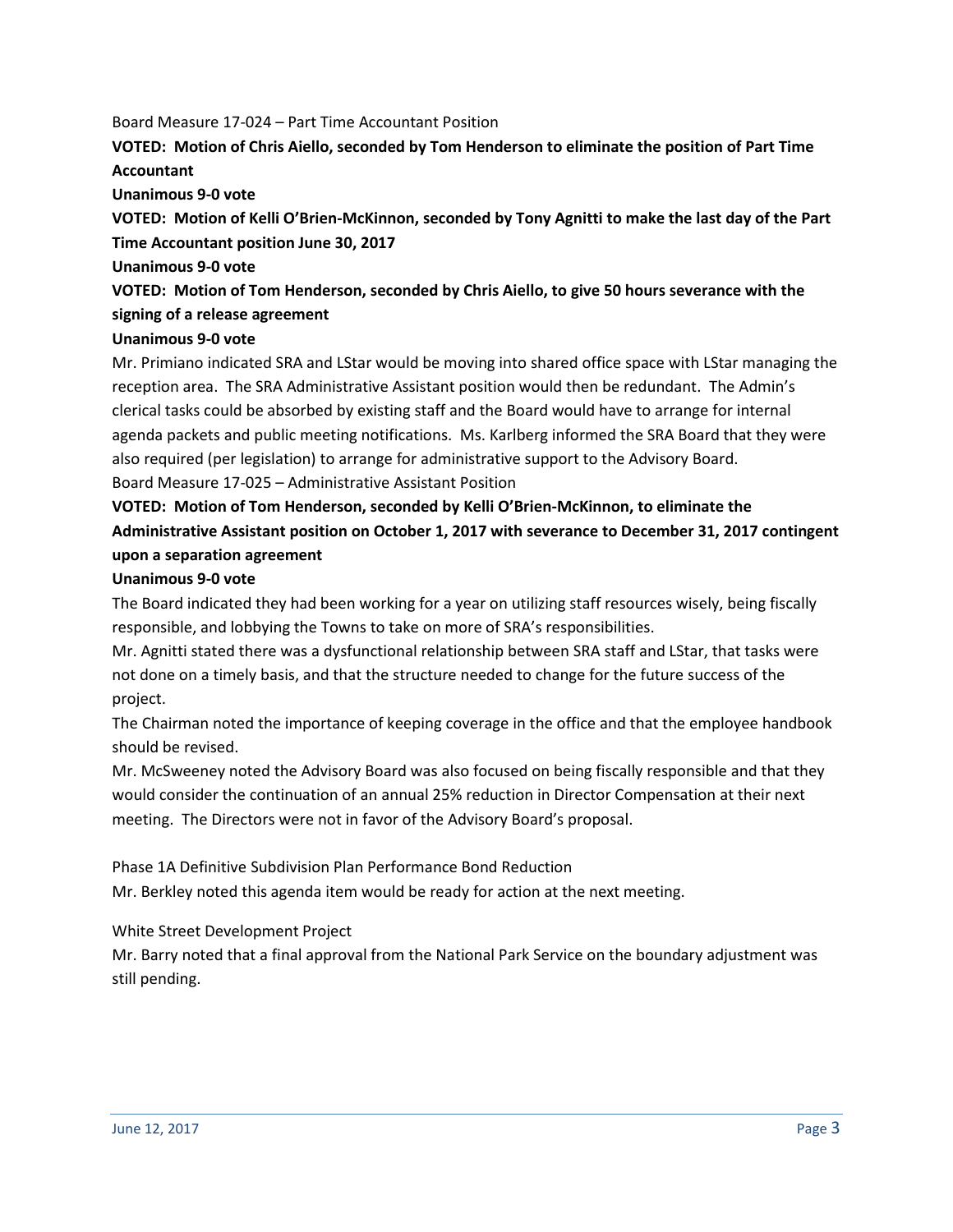#### Board Measure 17-024 – Part Time Accountant Position

### **VOTED: Motion of Chris Aiello, seconded by Tom Henderson to eliminate the position of Part Time Accountant**

**Unanimous 9-0 vote**

**VOTED: Motion of Kelli O'Brien-McKinnon, seconded by Tony Agnitti to make the last day of the Part Time Accountant position June 30, 2017**

#### **Unanimous 9-0 vote**

**VOTED: Motion of Tom Henderson, seconded by Chris Aiello, to give 50 hours severance with the signing of a release agreement**

#### **Unanimous 9-0 vote**

Mr. Primiano indicated SRA and LStar would be moving into shared office space with LStar managing the reception area. The SRA Administrative Assistant position would then be redundant. The Admin's clerical tasks could be absorbed by existing staff and the Board would have to arrange for internal agenda packets and public meeting notifications. Ms. Karlberg informed the SRA Board that they were also required (per legislation) to arrange for administrative support to the Advisory Board. Board Measure 17-025 – Administrative Assistant Position

# **VOTED: Motion of Tom Henderson, seconded by Kelli O'Brien-McKinnon, to eliminate the Administrative Assistant position on October 1, 2017 with severance to December 31, 2017 contingent upon a separation agreement**

#### **Unanimous 9-0 vote**

The Board indicated they had been working for a year on utilizing staff resources wisely, being fiscally responsible, and lobbying the Towns to take on more of SRA's responsibilities.

Mr. Agnitti stated there was a dysfunctional relationship between SRA staff and LStar, that tasks were not done on a timely basis, and that the structure needed to change for the future success of the project.

The Chairman noted the importance of keeping coverage in the office and that the employee handbook should be revised.

Mr. McSweeney noted the Advisory Board was also focused on being fiscally responsible and that they would consider the continuation of an annual 25% reduction in Director Compensation at their next meeting. The Directors were not in favor of the Advisory Board's proposal.

Phase 1A Definitive Subdivision Plan Performance Bond Reduction Mr. Berkley noted this agenda item would be ready for action at the next meeting.

White Street Development Project

Mr. Barry noted that a final approval from the National Park Service on the boundary adjustment was still pending.